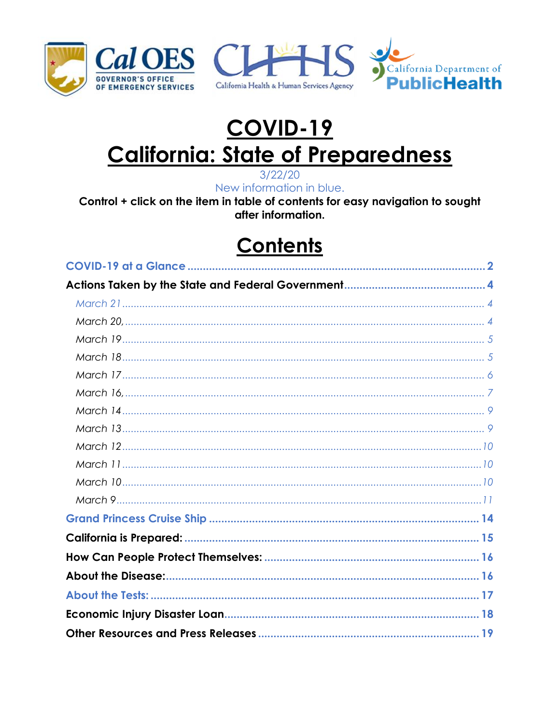





# **COVID-19 California: State of Preparedness**

 $3/22/20$ New information in blue.

Control + click on the item in table of contents for easy navigation to sought after information.

## **Contents**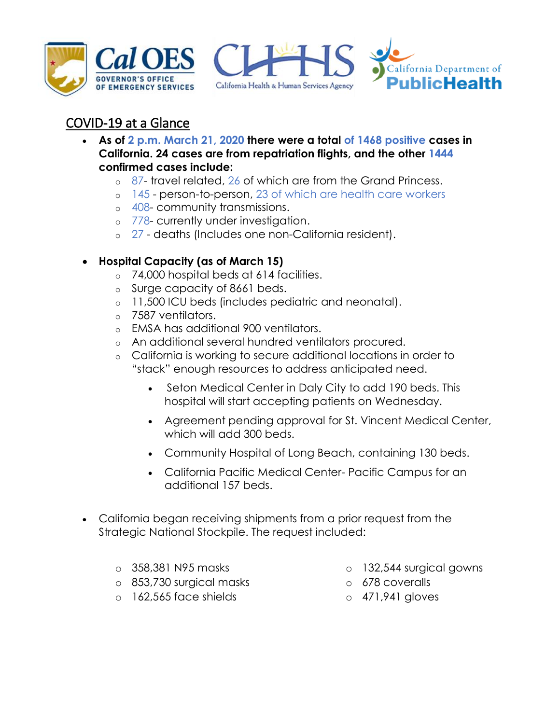





## <span id="page-1-0"></span>COVID-19 at a Glance

- **As of 2 p.m. March 21, 2020 there were a total of 1468 positive cases in California. 24 cases are from repatriation flights, and the other 1444 confirmed cases include:**
	- o 87- travel related, 26 of which are from the Grand Princess.
	- o 145 person-to-person, 23 of which are health care workers
	- o 408- community transmissions.
	- o 778- currently under investigation.
	- o 27 deaths (Includes one non-California resident).
- **Hospital Capacity (as of March 15)**
	- o 74,000 hospital beds at 614 facilities.
	- o Surge capacity of 8661 beds.
	- o 11,500 ICU beds (includes pediatric and neonatal).
	- o 7587 ventilators.
	- o EMSA has additional 900 ventilators.
	- o An additional several hundred ventilators procured.
	- o California is working to secure additional locations in order to "stack" enough resources to address anticipated need.
		- Seton Medical Center in Daly City to add 190 beds. This hospital will start accepting patients on Wednesday.
		- Agreement pending approval for St. Vincent Medical Center, which will add 300 beds.
		- Community Hospital of Long Beach, containing 130 beds.
		- California Pacific Medical Center- Pacific Campus for an additional 157 beds.
- California began receiving shipments from a prior request from the Strategic National Stockpile. The request included:
	- o 358,381 N95 masks
	- o 853,730 surgical masks
	- o 162,565 face shields
- o 132,544 surgical gowns
- o 678 coveralls
- o 471,941 gloves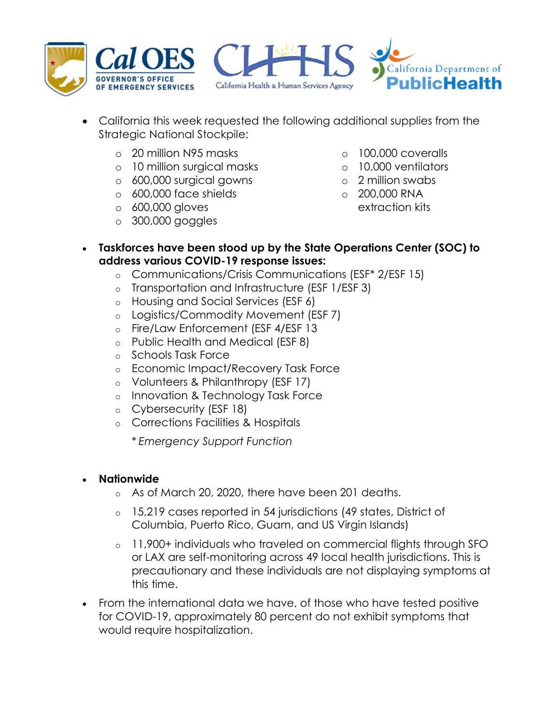





- California this week requested the following additional supplies from the Strategic National Stockpile:
	- o 20 million N95 masks
	- o 10 million surgical masks
	- o 600,000 surgical gowns
	- o 600,000 face shields
	- o 600,000 gloves
	- o 300,000 goggles
- o 100,000 coveralls
- o 10,000 ventilators
- o 2 million swabs
- o 200,000 RNA
	- extraction kits
- **Taskforces have been stood up by the State Operations Center (SOC) to address various COVID-19 response issues:**
	- o Communications/Crisis Communications (ESF\* 2/ESF 15)
	- o Transportation and Infrastructure (ESF 1/ESF 3)
	- o Housing and Social Services (ESF 6)
	- o Logistics/Commodity Movement (ESF 7)
	- o Fire/Law Enforcement (ESF 4/ESF 13
	- o Public Health and Medical (ESF 8)
	- o Schools Task Force
	- o Economic Impact/Recovery Task Force
	- o Volunteers & Philanthropy (ESF 17)
	- o Innovation & Technology Task Force
	- o Cybersecurity (ESF 18)
	- o Corrections Facilities & Hospitals

\* *Emergency Support Function*

#### **Nationwide**

- o As of March 20, 2020, there have been 201 deaths.
- o 15,219 cases reported in 54 jurisdictions (49 states, District of Columbia, Puerto Rico, Guam, and US Virgin Islands)
- o 11,900+ individuals who traveled on commercial flights through SFO or LAX are self-monitoring across 49 local health jurisdictions. This is precautionary and these individuals are not displaying symptoms at this time.
- From the international data we have, of those who have tested positive for COVID-19, approximately 80 percent do not exhibit symptoms that would require hospitalization.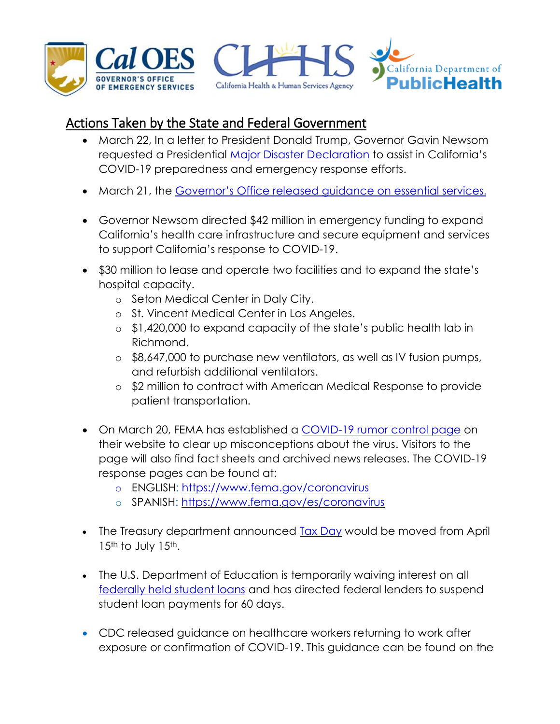

#### <span id="page-3-1"></span><span id="page-3-0"></span>Actions Taken by the State and Federal Government

- March 22, In a letter to President Donald Trump, Governor Gavin Newsom requested a Presidential [Major Disaster Declaration](https://www.gov.ca.gov/wp-content/uploads/2020/03/3.22.20-Major-Disaster-Decl-COVID19.pdf) to assist in California's COVID-19 preparedness and emergency response efforts.
- March 21, the [Governor's Office released guidance on essential services](https://covid19.ca.gov/img/EssentialCriticalInfrastructureWorkers.pdf).
- Governor Newsom directed \$42 million in emergency funding to expand California's health care infrastructure and secure equipment and services to support California's response to COVID-19.
- \$30 million to lease and operate two facilities and to expand the state's hospital capacity.
	- o Seton Medical Center in Daly City.
	- o St. Vincent Medical Center in Los Angeles.
	- o \$1,420,000 to expand capacity of the state's public health lab in Richmond.
	- o \$8,647,000 to purchase new ventilators, as well as IV fusion pumps, and refurbish additional ventilators.
	- o \$2 million to contract with American Medical Response to provide patient transportation.
- <span id="page-3-2"></span> On March 20, FEMA has established a [COVID-19 rumor control page](https://www.fema.gov/coronavirus-rumor-control) on their website to clear up misconceptions about the virus. Visitors to the page will also find fact sheets and archived news releases. The COVID-19 response pages can be found at:
	- o ENGLISH:<https://www.fema.gov/coronavirus>
	- o SPANISH:<https://www.fema.gov/es/coronavirus>
- The Treasury department announced [Tax Day](https://www.whitehouse.gov/articles/president-trump-actions-to-confront-pandemic/) would be moved from April 15<sup>th</sup> to July 15<sup>th</sup>.
- The U.S. Department of Education is temporarily waiving interest on all [federally held student loans](https://www.whitehouse.gov/articles/president-trump-actions-to-confront-pandemic/) and has directed federal lenders to suspend student loan payments for 60 days.
- CDC released guidance on healthcare workers returning to work after exposure or confirmation of COVID-19. This guidance can be found on the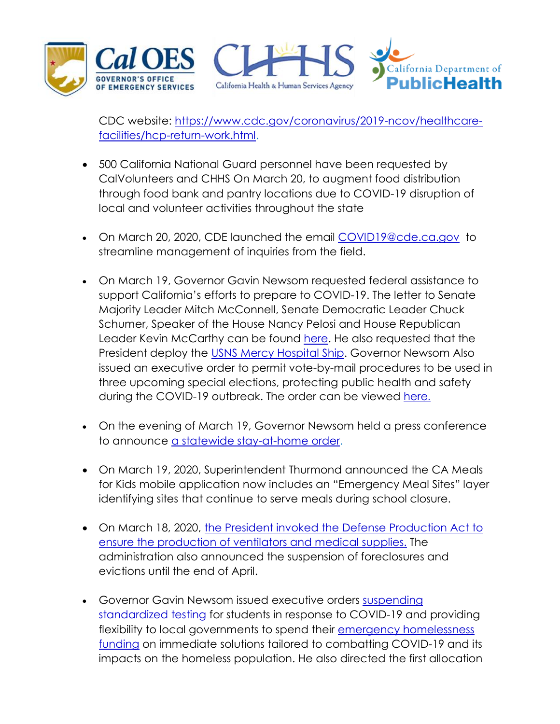

CDC website: [https://www.cdc.gov/coronavirus/2019-ncov/healthcare](https://www.cdc.gov/coronavirus/2019-ncov/healthcare-facilities/hcp-return-work.html)[facilities/hcp-return-work.html.](https://www.cdc.gov/coronavirus/2019-ncov/healthcare-facilities/hcp-return-work.html)

- 500 California National Guard personnel have been requested by CalVolunteers and CHHS On March 20, to augment food distribution through food bank and pantry locations due to COVID-19 disruption of local and volunteer activities throughout the state
- On March 20, 2020, CDE launched the email [COVID19@cde.ca.gov](mailto:COVID19@cde.ca.gov) to streamline management of inquiries from the field.
- <span id="page-4-0"></span> On March 19, Governor Gavin Newsom requested federal assistance to support California's efforts to prepare to COVID-19. The letter to Senate Majority Leader Mitch McConnell, Senate Democratic Leader Chuck Schumer, Speaker of the House Nancy Pelosi and House Republican Leader Kevin McCarthy can be found [here.](https://www.gov.ca.gov/wp-content/uploads/2020/03/3.19.20-Letter.pdf) He also requested that the President deploy the [USNS Mercy Hospital Ship.](https://www.gov.ca.gov/wp-content/uploads/2020/03/3.18.20-Letter-USNS-Mercy-Hospital-Ship.pdf) Governor Newsom Also issued an executive order to permit vote-by-mail procedures to be used in three upcoming special elections, protecting public health and safety during the COVID-19 outbreak. The order can be viewed [here](https://www.gov.ca.gov/wp-content/uploads/2020/03/3.20.20-EO-N-34-20-COVID-19-Elections.pdf).
- On the evening of March 19, Governor Newsom held a press conference to announce [a statewide stay-at-home](https://www.gov.ca.gov/2020/03/19/governor-gavin-newsom-issues-stay-at-home-order/) order.
- On March 19, 2020, Superintendent Thurmond announced the CA Meals for Kids mobile application now includes an "Emergency Meal Sites" layer identifying sites that continue to serve meals during school closure.
- <span id="page-4-1"></span> On March 18, 2020, [the President invoked the Defense Production Act to](https://www.whitehouse.gov/presidential-actions/executive-order-prioritizing-allocating-health-medical-resources-respond-spread-covid-19/)  [ensure the production of ventilators and medical supplies.](https://www.whitehouse.gov/presidential-actions/executive-order-prioritizing-allocating-health-medical-resources-respond-spread-covid-19/) The administration also announced the suspension of foreclosures and evictions until the end of April.
- Governor Gavin Newsom issued executive orders suspending [standardized testing](https://www.gov.ca.gov/wp-content/uploads/2020/03/3.17.18-N-30-20-Schools.pdf) for students in response to COVID-19 and providing flexibility to local governments to spend their [emergency homelessness](https://www.gov.ca.gov/wp-content/uploads/2020/03/3.18.20-EO.pdf)  [funding](https://www.gov.ca.gov/wp-content/uploads/2020/03/3.18.20-EO.pdf) on immediate solutions tailored to combatting COVID-19 and its impacts on the homeless population. He also directed the first allocation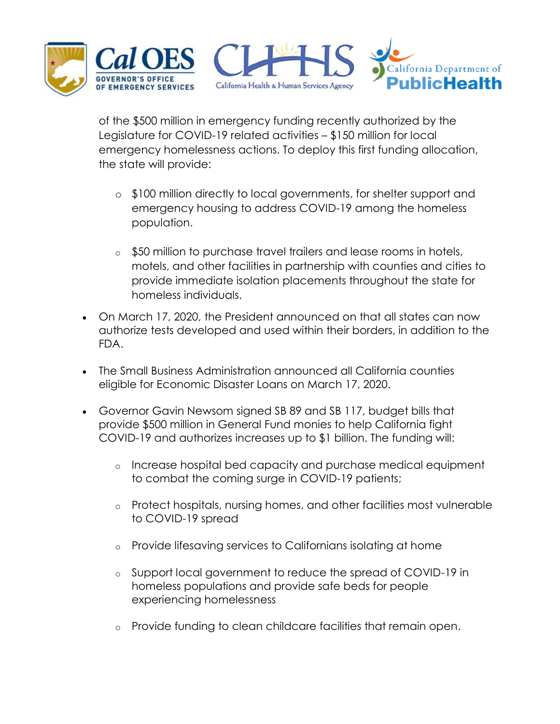

of the \$500 million in emergency funding recently authorized by the Legislature for COVID-19 related activities – \$150 million for local emergency homelessness actions. To deploy this first funding allocation, the state will provide:

- o \$100 million directly to local governments, for shelter support and emergency housing to address COVID-19 among the homeless population.
- o \$50 million to purchase travel trailers and lease rooms in hotels, motels, and other facilities in partnership with counties and cities to provide immediate isolation placements throughout the state for homeless individuals.
- <span id="page-5-0"></span> On March 17, 2020, the President announced on that all states can now authorize tests developed and used within their borders, in addition to the FDA.
- The Small Business Administration announced all California counties eligible for Economic Disaster Loans on March 17, 2020.
- Governor Gavin Newsom signed SB 89 and SB 117, budget bills that provide \$500 million in General Fund monies to help California fight COVID-19 and authorizes increases up to \$1 billion. The funding will:
	- o Increase hospital bed capacity and purchase medical equipment to combat the coming surge in COVID-19 patients;
	- o Protect hospitals, nursing homes, and other facilities most vulnerable to COVID-19 spread
	- o Provide lifesaving services to Californians isolating at home
	- o Support local government to reduce the spread of COVID-19 in homeless populations and provide safe beds for people experiencing homelessness
	- o Provide funding to clean childcare facilities that remain open.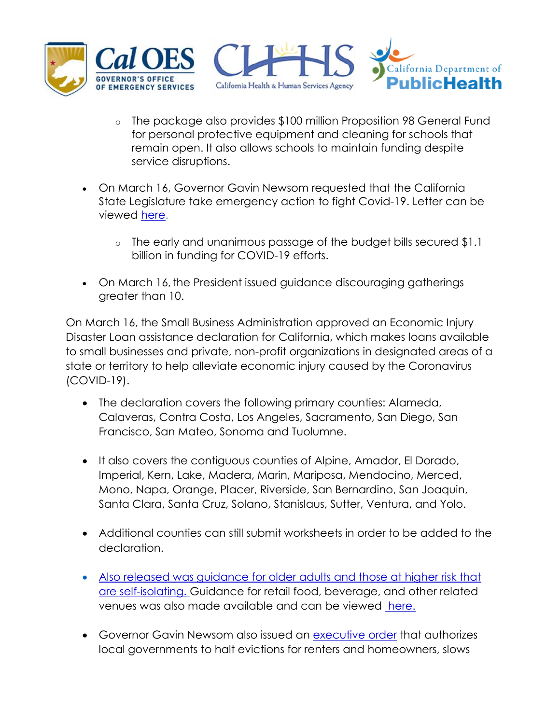

- o The package also provides \$100 million Proposition 98 General Fund for personal protective equipment and cleaning for schools that remain open. It also allows schools to maintain funding despite service disruptions.
- On March 16, Governor Gavin Newsom requested that the California State Legislature take emergency action to fight Covid-19. Letter can be viewed [here.](https://www.gov.ca.gov/wp-content/uploads/2020/03/3.16.20-File-Notice-Letter.pdf)
	- o The early and unanimous passage of the budget bills secured \$1.1 billion in funding for COVID-19 efforts.
- <span id="page-6-0"></span> On March 16, the President issued guidance discouraging gatherings greater than 10.

On March 16, the Small Business Administration approved an Economic Injury Disaster Loan assistance declaration for California, which makes loans available to small businesses and private, non-profit organizations in designated areas of a state or territory to help alleviate economic injury caused by the Coronavirus (COVID-19).

- The declaration covers the following primary counties: Alameda, Calaveras, Contra Costa, Los Angeles, Sacramento, San Diego, San Francisco, San Mateo, Sonoma and Tuolumne.
- It also covers the contiguous counties of Alpine, Amador, El Dorado, Imperial, Kern, Lake, Madera, Marin, Mariposa, Mendocino, Merced, Mono, Napa, Orange, Placer, Riverside, San Bernardino, San Joaquin, Santa Clara, Santa Cruz, Solano, Stanislaus, Sutter, Ventura, and Yolo.
- Additional counties can still submit worksheets in order to be added to the declaration.
- [Also released was guidance for older adults and those at higher risk that](https://www.cdph.ca.gov/Programs/CID/DCDC/CDPH%20Document%20Library/Self_Isolation_Guidance_03.16.20.pdf)  [are self-isolating.](https://www.cdph.ca.gov/Programs/CID/DCDC/CDPH%20Document%20Library/Self_Isolation_Guidance_03.16.20.pdf) Guidance for retail food, beverage, and other related venues was also made available and can be viewed [here.](https://www.cdph.ca.gov/Programs/CID/DCDC/CDPH%20Document%20Library/COVID-19/Coronavirus%20Disease%202019%20and%20Food%20Beverage%20Other%20Services%20-%20AOL.pdf)
- Governor Gavin Newsom also issued an [executive order](https://www.gov.ca.gov/wp-content/uploads/2020/03/3.16.20-Executive-Order.pdf) that authorizes local governments to halt evictions for renters and homeowners, slows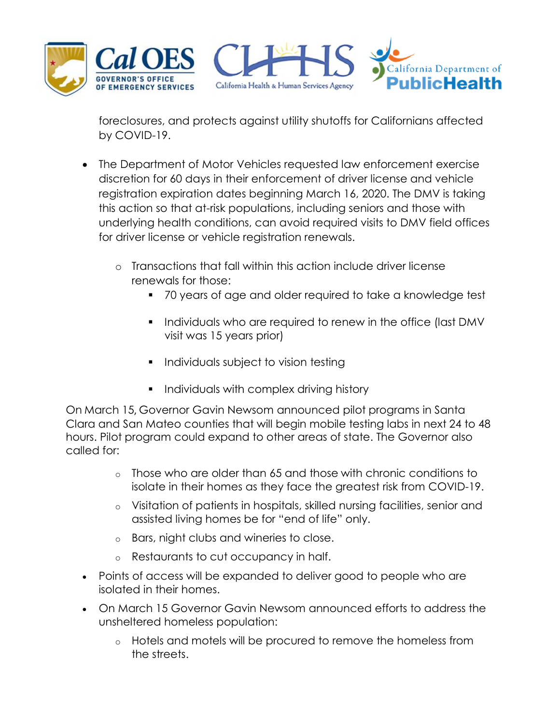

foreclosures, and protects against utility shutoffs for Californians affected by COVID-19.

- The Department of Motor Vehicles requested law enforcement exercise discretion for 60 days in their enforcement of driver license and vehicle registration expiration dates beginning March 16, 2020. The DMV is taking this action so that at-risk populations, including seniors and those with underlying health conditions, can avoid required visits to DMV field offices for driver license or vehicle registration renewals.
	- o Transactions that fall within this action include driver license renewals for those:
		- 70 years of age and older required to take a knowledge test
		- **Individuals who are required to renew in the office (last DMV** visit was 15 years prior)
		- **Individuals subject to vision testing**
		- **Individuals with complex driving history**

On March 15, Governor Gavin Newsom announced pilot programs in Santa Clara and San Mateo counties that will begin mobile testing labs in next 24 to 48 hours. Pilot program could expand to other areas of state. The Governor also called for:

- o Those who are older than 65 and those with chronic conditions to isolate in their homes as they face the greatest risk from COVID-19.
- o Visitation of patients in hospitals, skilled nursing facilities, senior and assisted living homes be for "end of life" only.
- o Bars, night clubs and wineries to close.
- o Restaurants to cut occupancy in half.
- Points of access will be expanded to deliver good to people who are isolated in their homes.
- On March 15 Governor Gavin Newsom announced efforts to address the unsheltered homeless population:
	- o Hotels and motels will be procured to remove the homeless from the streets.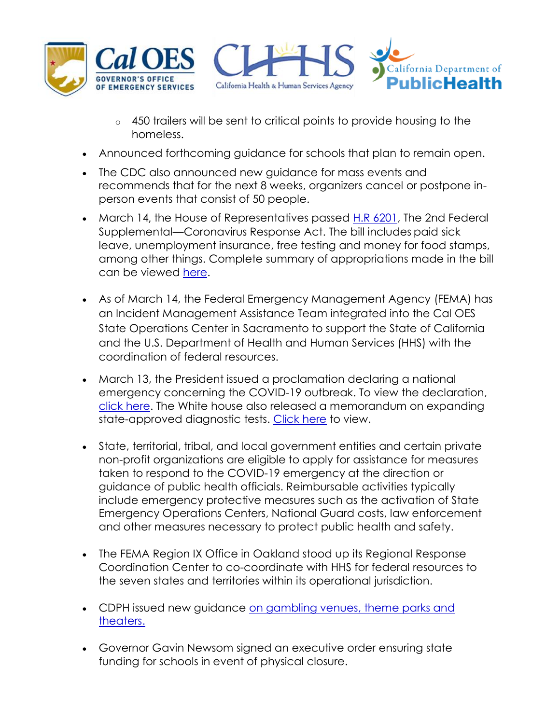

- o 450 trailers will be sent to critical points to provide housing to the homeless.
- Announced forthcoming guidance for schools that plan to remain open.
- The CDC also announced new guidance for mass events and recommends that for the next 8 weeks, organizers cancel or postpone inperson events that consist of 50 people.
- <span id="page-8-0"></span>• March 14, the House of Representatives passed [H.R 6201,](https://www.congress.gov/bill/116th-congress/house-bill/6201/text) The 2nd Federal Supplemental—Coronavirus Response Act. The bill includes paid sick leave, unemployment insurance, free testing and money for food stamps, among other things. Complete summary of appropriations made in the bill can be viewed [here.](https://www.congress.gov/bill/116th-congress/house-bill/6201)
- As of March 14, the Federal Emergency Management Agency (FEMA) has an Incident Management Assistance Team integrated into the Cal OES State Operations Center in Sacramento to support the State of California and the U.S. Department of Health and Human Services (HHS) with the coordination of federal resources.
- <span id="page-8-1"></span> March 13, the President issued a proclamation declaring a national emergency concerning the COVID-19 outbreak. To view the declaration, [click here.](https://www.whitehouse.gov/presidential-actions/proclamation-declaring-national-emergency-concerning-novel-coronavirus-disease-covid-19-outbreak/) The White house also released a memorandum on expanding state-approved diagnostic tests. [Click here](https://www.whitehouse.gov/presidential-actions/memorandum-expanding-state-approved-diagnostic-tests/) to view.
- State, territorial, tribal, and local government entities and certain private non-profit organizations are eligible to apply for assistance for measures taken to respond to the COVID-19 emergency at the direction or guidance of public health officials. Reimbursable activities typically include emergency protective measures such as the activation of State Emergency Operations Centers, National Guard costs, law enforcement and other measures necessary to protect public health and safety.
- The FEMA Region IX Office in Oakland stood up its Regional Response Coordination Center to co-coordinate with HHS for federal resources to the seven states and territories within its operational jurisdiction.
- CDPH issued new guidance on gambling venues, theme parks and [theaters.](http://www.oesnews.com/state-health-emergency-officials-release-guidance-to-prevent-the-transmission-of-covid-19-in-gambling-venues-theme-parks-and-theaters/)
- Governor Gavin Newsom signed an executive order ensuring state funding for schools in event of physical closure.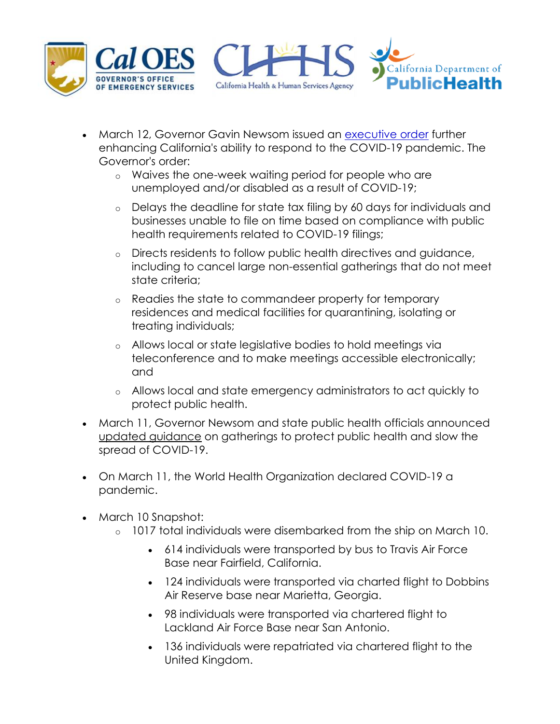

- <span id="page-9-0"></span>• March 12, Governor Gavin Newsom issued an [executive](https://www.gov.ca.gov/wp-content/uploads/2020/03/3.12.20-EO-N-25-20-COVID-19.pdf) order further enhancing California's ability to respond to the COVID-19 pandemic. The Governor's order:
	- o Waives the one-week waiting period for people who are unemployed and/or disabled as a result of COVID-19;
	- o Delays the deadline for state tax filing by 60 days for individuals and businesses unable to file on time based on compliance with public health requirements related to COVID-19 filings;
	- o Directs residents to follow public health directives and guidance, including to cancel large non-essential gatherings that do not meet state criteria;
	- o Readies the state to commandeer property for temporary residences and medical facilities for quarantining, isolating or treating individuals;
	- o Allows local or state legislative bodies to hold meetings via teleconference and to make meetings accessible electronically; and
	- o Allows local and state emergency administrators to act quickly to protect public health.
- <span id="page-9-1"></span> March 11, Governor Newsom and state public health officials announced [updated guidance](https://www.cdph.ca.gov/Programs/CID/DCDC/CDPH%20Document%20Library/Gathering_Guidance_03.11.20.pdf) on gatherings to protect public health and slow the spread of COVID-19.
- On March 11, the World Health Organization declared COVID-19 a pandemic.
- <span id="page-9-2"></span>• March 10 Snapshot:
	- o 1017 total individuals were disembarked from the ship on March 10.
		- 614 individuals were transported by bus to Travis Air Force Base near Fairfield, California.
		- 124 individuals were transported via charted flight to Dobbins Air Reserve base near Marietta, Georgia.
		- 98 individuals were transported via chartered flight to Lackland Air Force Base near San Antonio.
		- 136 individuals were repatriated via chartered flight to the United Kingdom.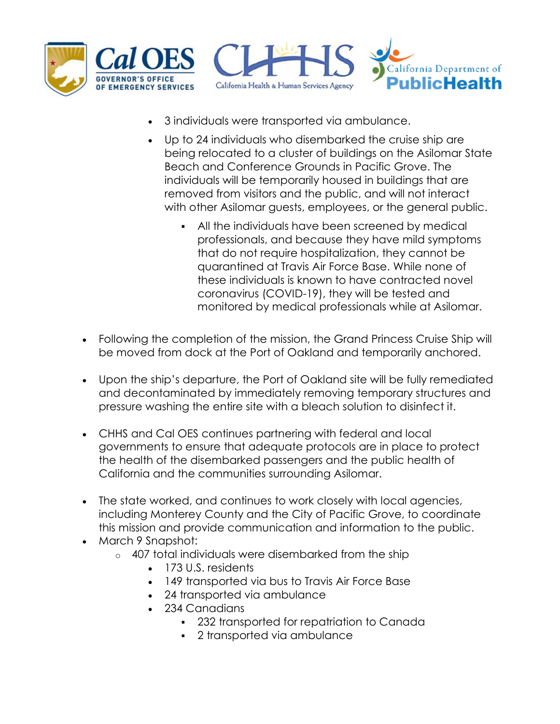

- 3 individuals were transported via ambulance.
- Up to 24 individuals who disembarked the cruise ship are being relocated to a cluster of buildings on the Asilomar State Beach and Conference Grounds in Pacific Grove. The individuals will be temporarily housed in buildings that are removed from visitors and the public, and will not interact with other Asilomar guests, employees, or the general public.
	- All the individuals have been screened by medical professionals, and because they have mild symptoms that do not require hospitalization, they cannot be quarantined at Travis Air Force Base. While none of these individuals is known to have contracted novel coronavirus (COVID-19), they will be tested and monitored by medical professionals while at Asilomar.
- Following the completion of the mission, the Grand Princess Cruise Ship will be moved from dock at the Port of Oakland and temporarily anchored.
- Upon the ship's departure, the Port of Oakland site will be fully remediated and decontaminated by immediately removing temporary structures and pressure washing the entire site with a bleach solution to disinfect it.
- CHHS and Cal OES continues partnering with federal and local governments to ensure that adequate protocols are in place to protect the health of the disembarked passengers and the public health of California and the communities surrounding Asilomar.
- The state worked, and continues to work closely with local agencies, including Monterey County and the City of Pacific Grove, to coordinate this mission and provide communication and information to the public.
- <span id="page-10-0"></span>• March 9 Snapshot:
	- o 407 total individuals were disembarked from the ship
		- 173 U.S. residents
		- 149 transported via bus to Travis Air Force Base
		- 24 transported via ambulance
		- 234 Canadians
			- 232 transported for repatriation to Canada
			- 2 transported via ambulance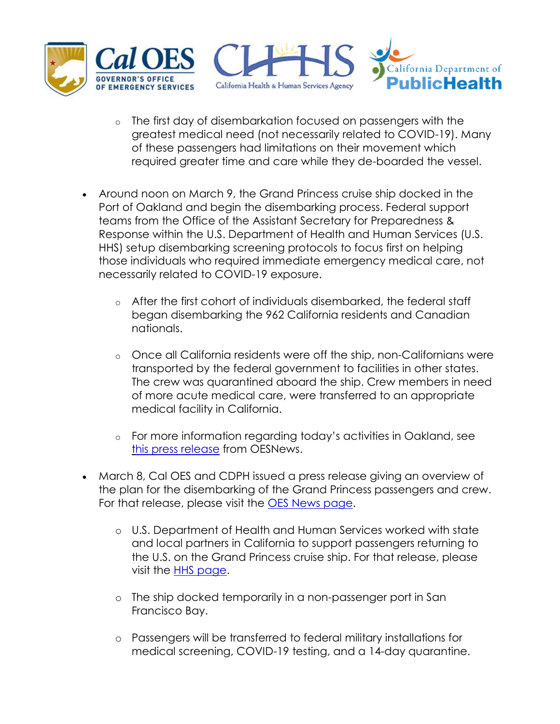

- o The first day of disembarkation focused on passengers with the greatest medical need (not necessarily related to COVID-19). Many of these passengers had limitations on their movement which required greater time and care while they de-boarded the vessel.
- Around noon on March 9, the Grand Princess cruise ship docked in the Port of Oakland and begin the disembarking process. Federal support teams from the Office of the Assistant Secretary for Preparedness & Response within the U.S. Department of Health and Human Services (U.S. HHS) setup disembarking screening protocols to focus first on helping those individuals who required immediate emergency medical care, not necessarily related to COVID-19 exposure.
	- o After the first cohort of individuals disembarked, the federal staff began disembarking the 962 California residents and Canadian nationals.
	- o Once all California residents were off the ship, non-Californians were transported by the federal government to facilities in other states. The crew was quarantined aboard the ship. Crew members in need of more acute medical care, were transferred to an appropriate medical facility in California.
	- o For more information regarding today's activities in Oakland, see [this press release](http://www.oesnews.com/federal-and-state-partners-protect-the-community-of-oakland-while-supporting-the-safe-return-of-passengers-from-the-grand-princess-cruise-ship/) from OESNews.
- March 8, Cal OES and CDPH issued a press release giving an overview of the plan for the disembarking of the Grand Princess passengers and crew. For that release, please visit the [OES News page.](http://www.oesnews.com/update-on-grand-princess-cruise-ship/)
	- o U.S. Department of Health and Human Services worked with state and local partners in California to support passengers returning to the U.S. on the Grand Princess cruise ship. For that release, please visit the [HHS page.](https://www.hhs.gov/notification-hhs-and-state-california-support-passengers-grand-princess-cruise-ship.html)
	- o The ship docked temporarily in a non-passenger port in San Francisco Bay.
	- o Passengers will be transferred to federal military installations for medical screening, COVID-19 testing, and a 14-day quarantine.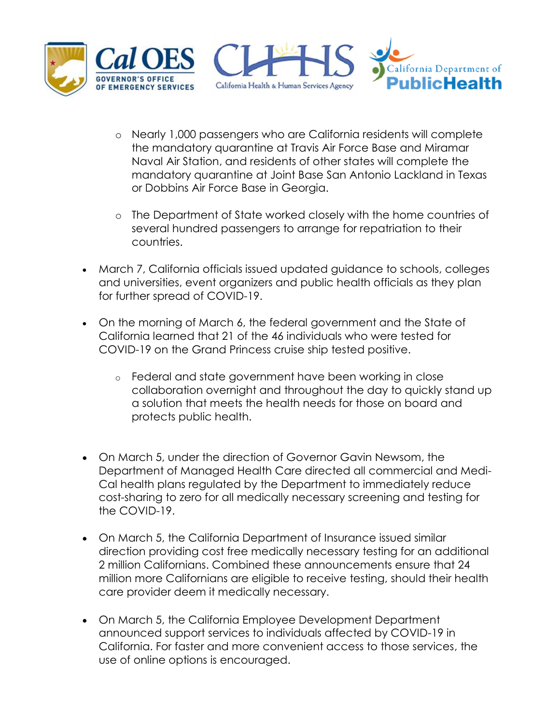

- o Nearly 1,000 passengers who are California residents will complete the mandatory quarantine at Travis Air Force Base and Miramar Naval Air Station, and residents of other states will complete the mandatory quarantine at Joint Base San Antonio Lackland in Texas or Dobbins Air Force Base in Georgia.
- o The Department of State worked closely with the home countries of several hundred passengers to arrange for repatriation to their countries.
- March 7, California officials issued updated guidance to schools, colleges and universities, event organizers and public health officials as they plan for further spread of COVID-19.
- On the morning of March 6, the federal government and the State of California learned that 21 of the 46 individuals who were tested for COVID-19 on the Grand Princess cruise ship tested positive.
	- o Federal and state government have been working in close collaboration overnight and throughout the day to quickly stand up a solution that meets the health needs for those on board and protects public health.
- On March 5, under the direction of Governor Gavin Newsom, the Department of Managed Health Care directed all commercial and Medi-Cal health plans regulated by the Department to immediately reduce cost-sharing to zero for all medically necessary screening and testing for the COVID-19.
- On March 5, the California Department of Insurance issued similar direction providing cost free medically necessary testing for an additional 2 million Californians. Combined these announcements ensure that 24 million more Californians are eligible to receive testing, should their health care provider deem it medically necessary.
- On March 5, the California Employee Development Department announced support services to individuals affected by COVID-19 in California. For faster and more convenient access to those services, the use of online options is encouraged.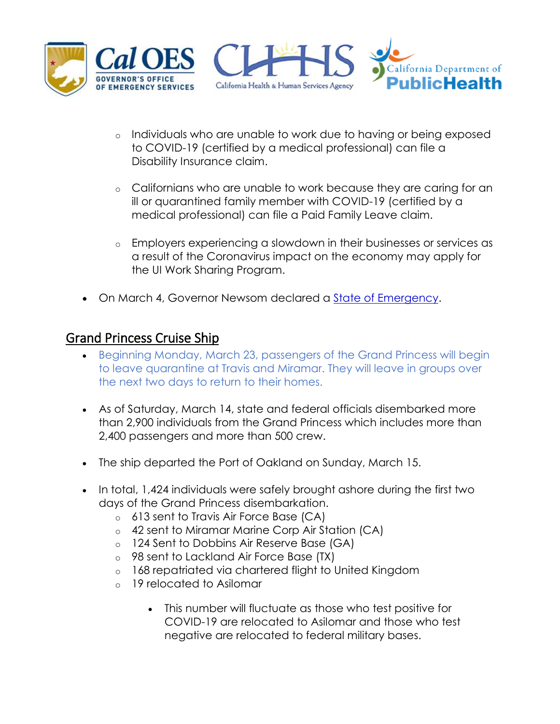

- o Individuals who are unable to work due to having or being exposed to COVID-19 (certified by a medical professional) can file a Disability Insurance claim.
- o Californians who are unable to work because they are caring for an ill or quarantined family member with COVID-19 (certified by a medical professional) can file a Paid Family Leave claim.
- o Employers experiencing a slowdown in their businesses or services as a result of the Coronavirus impact on the economy may apply for the UI Work Sharing Program.
- On March 4, Governor Newsom declared a [State of Emergency.](https://www.gov.ca.gov/wp-content/uploads/2020/03/3.4.20-Coronavirus-SOE-Proclamation.pdf)

#### <span id="page-13-0"></span>Grand Princess Cruise Ship

- Beginning Monday, March 23, passengers of the Grand Princess will begin to leave quarantine at Travis and Miramar. They will leave in groups over the next two days to return to their homes.
- As of Saturday, March 14, state and federal officials disembarked more than 2,900 individuals from the Grand Princess which includes more than 2,400 passengers and more than 500 crew.
- The ship departed the Port of Oakland on Sunday, March 15.
- In total, 1,424 individuals were safely brought ashore during the first two days of the Grand Princess disembarkation.
	- o 613 sent to Travis Air Force Base (CA)
	- o 42 sent to Miramar Marine Corp Air Station (CA)
	- o 124 Sent to Dobbins Air Reserve Base (GA)
	- o 98 sent to Lackland Air Force Base (TX)
	- o 168 repatriated via chartered flight to United Kingdom
	- o 19 relocated to Asilomar
		- This number will fluctuate as those who test positive for COVID-19 are relocated to Asilomar and those who test negative are relocated to federal military bases.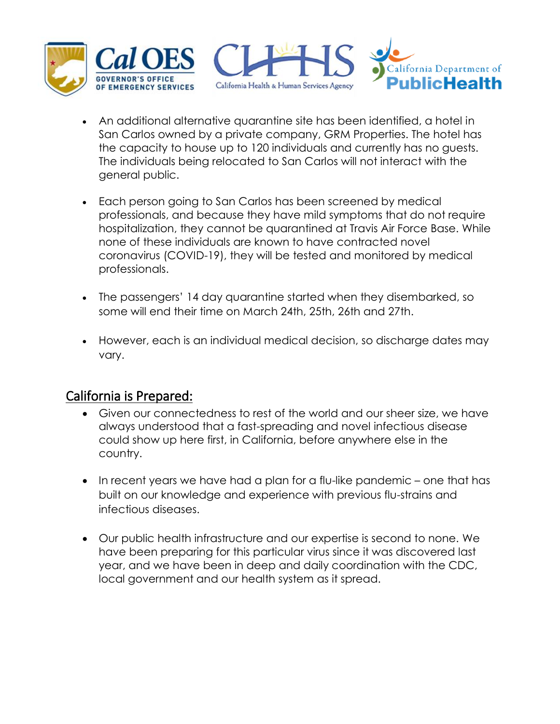

- An additional alternative quarantine site has been identified, a hotel in San Carlos owned by a private company, GRM Properties. The hotel has the capacity to house up to 120 individuals and currently has no guests. The individuals being relocated to San Carlos will not interact with the general public.
- Each person going to San Carlos has been screened by medical professionals, and because they have mild symptoms that do not require hospitalization, they cannot be quarantined at Travis Air Force Base. While none of these individuals are known to have contracted novel coronavirus (COVID-19), they will be tested and monitored by medical professionals.
- The passengers' 14 day quarantine started when they disembarked, so some will end their time on March 24th, 25th, 26th and 27th.
- However, each is an individual medical decision, so discharge dates may vary.

#### <span id="page-14-0"></span>California is Prepared:

- Given our connectedness to rest of the world and our sheer size, we have always understood that a fast-spreading and novel infectious disease could show up here first, in California, before anywhere else in the country.
- In recent years we have had a plan for a flu-like pandemic one that has built on our knowledge and experience with previous flu-strains and infectious diseases.
- Our public health infrastructure and our expertise is second to none. We have been preparing for this particular virus since it was discovered last year, and we have been in deep and daily coordination with the CDC, local government and our health system as it spread.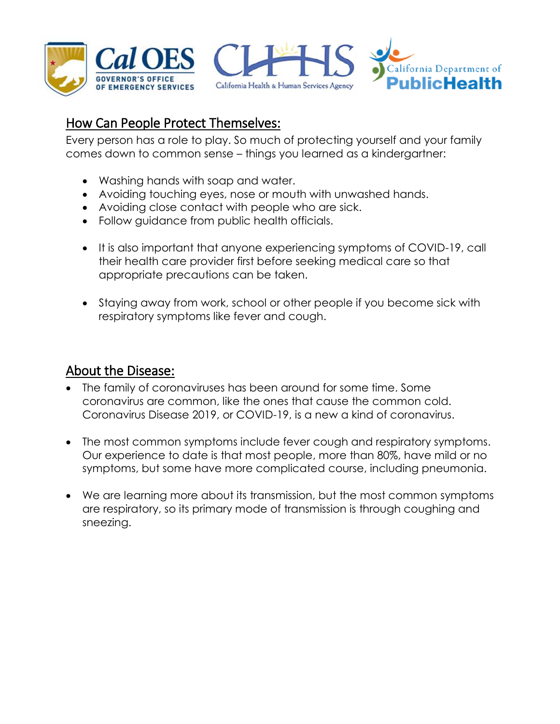

### <span id="page-15-0"></span>How Can People Protect Themselves:

Every person has a role to play. So much of protecting yourself and your family comes down to common sense – things you learned as a kindergartner:

- Washing hands with soap and water.
- Avoiding touching eyes, nose or mouth with unwashed hands.
- Avoiding close contact with people who are sick.
- Follow guidance from public health officials.
- It is also important that anyone experiencing symptoms of COVID-19, call their health care provider first before seeking medical care so that appropriate precautions can be taken.
- Staying away from work, school or other people if you become sick with respiratory symptoms like fever and cough.

#### <span id="page-15-1"></span>About the Disease:

- The family of coronaviruses has been around for some time. Some coronavirus are common, like the ones that cause the common cold. Coronavirus Disease 2019, or COVID-19, is a new a kind of coronavirus.
- The most common symptoms include fever cough and respiratory symptoms. Our experience to date is that most people, more than 80%, have mild or no symptoms, but some have more complicated course, including pneumonia.
- We are learning more about its transmission, but the most common symptoms are respiratory, so its primary mode of transmission is through coughing and sneezing.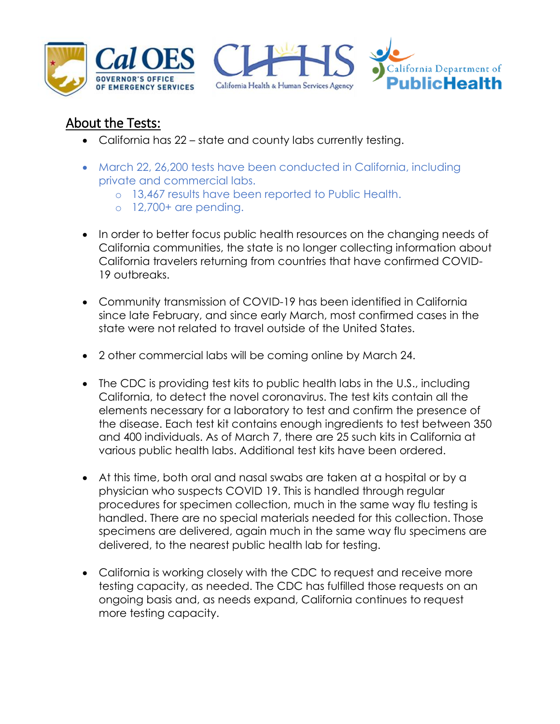





## <span id="page-16-0"></span>About the Tests:

- California has 22 state and county labs currently testing.
- March 22, 26,200 tests have been conducted in California, including private and commercial labs.
	- o 13,467 results have been reported to Public Health.
	- $\circ$  12,700+ are pending.
- In order to better focus public health resources on the changing needs of California communities, the state is no longer collecting information about California travelers returning from countries that have confirmed COVID-19 outbreaks.
- Community transmission of COVID-19 has been identified in California since late February, and since early March, most confirmed cases in the state were not related to travel outside of the United States.
- 2 other commercial labs will be coming online by March 24.
- The CDC is providing test kits to public health labs in the U.S., including California, to detect the novel coronavirus. The test kits contain all the elements necessary for a laboratory to test and confirm the presence of the disease. Each test kit contains enough ingredients to test between 350 and 400 individuals. As of March 7, there are 25 such kits in California at various public health labs. Additional test kits have been ordered.
- At this time, both oral and nasal swabs are taken at a hospital or by a physician who suspects COVID 19. This is handled through regular procedures for specimen collection, much in the same way flu testing is handled. There are no special materials needed for this collection. Those specimens are delivered, again much in the same way flu specimens are delivered, to the nearest public health lab for testing.
- California is working closely with [the](https://twitter.com/CDCgov) CDC to request and receive more testing capacity, as needed. The CDC has fulfilled those requests on an ongoing basis and, as needs expand, California continues to request more testing capacity.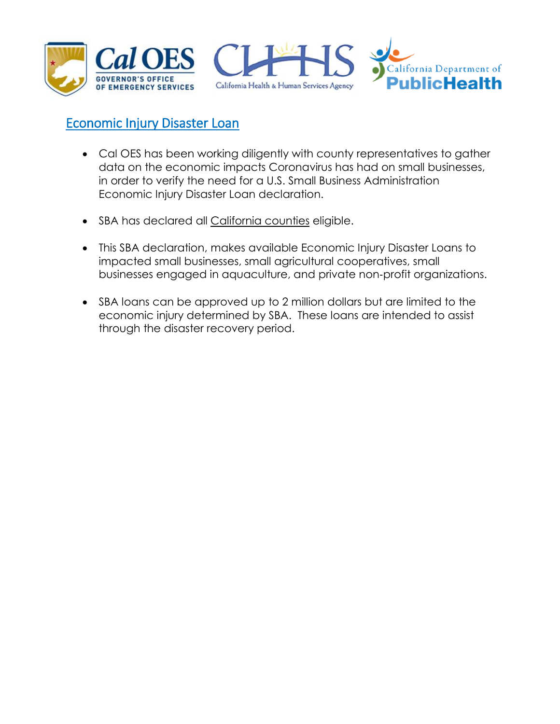





#### <span id="page-17-0"></span>Economic Injury Disaster Loan

- Cal OES has been working diligently with county representatives to gather data on the economic impacts Coronavirus has had on small businesses, in order to verify the need for a U.S. Small Business Administration Economic Injury Disaster Loan declaration.
- SBA has declared all [California counties](https://disasterloan.sba.gov/ela/Declarations/DeclarationDetails?declNumber=6062932&direct=false) eligible.
- This SBA declaration, makes available Economic Injury Disaster Loans to impacted small businesses, small agricultural cooperatives, small businesses engaged in aquaculture, and private non‐profit organizations.
- SBA loans can be approved up to 2 million dollars but are limited to the economic injury determined by SBA. These loans are intended to assist through the disaster recovery period.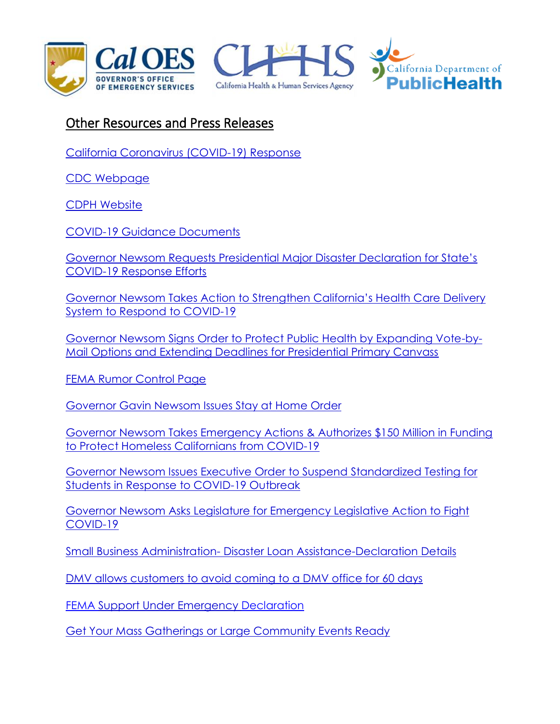





#### <span id="page-18-0"></span>Other Resources and Press Releases

[California Coronavirus \(COVID-19\) Response](https://covid19.ca.gov/)

[CDC Webpage](https://gcc01.safelinks.protection.outlook.com/?url=https%3A%2F%2Furldefense.proofpoint.com%2Fv2%2Furl%3Fu%3Dhttps-3A__www.cdc.gov_coronavirus_2019-2Dncov_communication_factsheets.html%26d%3DDwMGaQ%26c%3DLr0a7ed3egkbwePCNW4ROg%26r%3DgMBVTHn0JEtS76rXsnANDQpJtjHpDi-Sfzs-6p_gh7k%26m%3DR1mrs6Kn9OQgo9lLowtr8am7WzB3TsqUYZxImthDDmA%26s%3DFaDFEce3I9IO6onTFk7CN88uDxQc1X20dmXiFoBQo6E%26e%3D&data=01%7C01%7CLori.Nezhura%40CalOES.ca.gov%7C3d1608f763dc4b74f4e008d7bf156263%7Cebf268ae303647149f69c9fd0e9dc6b9%7C1&sdata=DmXTinSBF%2Bcyf36kUkUWjfVDzvRq1IqPB1E8faQEi2M%3D&reserved=0)

[CDPH Website](https://www.cdph.ca.gov/Programs/CID/DCDC/Pages/Immunization/ncov2019.aspx)

[COVID-19 Guidance Documents](https://www.cdph.ca.gov/Programs/CID/DCDC/Pages/Guidance.aspx)

[Governor Newsom Requests Presidential Major Disaster Declaration for State's](https://www.gov.ca.gov/2020/03/22/governor-newsom-requests-presidential-major-disaster-declaration-for-states-covid-19-response-efforts/)  [COVID-19 Response Efforts](https://www.gov.ca.gov/2020/03/22/governor-newsom-requests-presidential-major-disaster-declaration-for-states-covid-19-response-efforts/)

[Governor Newsom Takes Action to Strengthen California's Health Care Delivery](http://www.oesnews.com/governor-newsom-takes-action-to-strengthen-californias-health-care-delivery-system-to-respond-to-covid-19/)  [System to Respond to COVID-19](http://www.oesnews.com/governor-newsom-takes-action-to-strengthen-californias-health-care-delivery-system-to-respond-to-covid-19/)

[Governor Newsom Signs Order to Protect Public Health by Expanding Vote-by-](http://www.oesnews.com/governor-newsom-signs-order-to-protect-public-health-by-expanding-vote-by-mail-options-and-extending-deadlines-for-presidential-primary-canvass/)[Mail Options and Extending Deadlines for Presidential Primary Canvass](http://www.oesnews.com/governor-newsom-signs-order-to-protect-public-health-by-expanding-vote-by-mail-options-and-extending-deadlines-for-presidential-primary-canvass/)

[FEMA Rumor Control Page](https://www.fema.gov/coronavirus-rumor-control)

[Governor Gavin Newsom Issues Stay at Home Order](https://www.gov.ca.gov/2020/03/19/governor-gavin-newsom-issues-stay-at-home-order/)

[Governor Newsom Takes Emergency Actions & Authorizes \\$150 Million in Funding](https://www.gov.ca.gov/2020/03/18/governor-newsom-takes-emergency-actions-authorizes-150-million-in-funding-to-protect-homeless-californians-from-covid-19/)  [to Protect Homeless Californians from COVID-19](https://www.gov.ca.gov/2020/03/18/governor-newsom-takes-emergency-actions-authorizes-150-million-in-funding-to-protect-homeless-californians-from-covid-19/)

[Governor Newsom Issues Executive Order to Suspend](https://www.gov.ca.gov/2020/03/18/governor-newsom-issues-executive-order-to-suspend-standardized-testing-for-students-in-response-to-covid-19-outbreak/) Standardized Testing for [Students in Response to COVID-19 Outbreak](https://www.gov.ca.gov/2020/03/18/governor-newsom-issues-executive-order-to-suspend-standardized-testing-for-students-in-response-to-covid-19-outbreak/)

[Governor Newsom Asks Legislature for Emergency Legislative Action to Fight](https://www.gov.ca.gov/2020/03/16/governor-newsom-asks-legislature-for-emergency-legislative-action-to-fight-covid-19/)  [COVID-19](https://www.gov.ca.gov/2020/03/16/governor-newsom-asks-legislature-for-emergency-legislative-action-to-fight-covid-19/)

Small Business Administration- [Disaster Loan Assistance-Declaration Details](https://disasterloan.sba.gov/ela/Declarations/DeclarationDetails?declNumber=6062932&direct=false)

[DMV allows customers to avoid coming to a DMV office for 60 days](http://www.oesnews.com/dmv-allows-customers-to-avoid-coming-to-a-dmv-office-for-60-days/)

FEMA Support [Under](https://www.fema.gov/news-release/2020/03/13/president-donald-j-trump-directs-fema-support-under-emergency-declaration) Emergency Declaration

[Get Your Mass Gatherings or Large Community Events Ready](https://www.cdc.gov/coronavirus/2019-ncov/community/large-events/mass-gatherings-ready-for-covid-19.html)